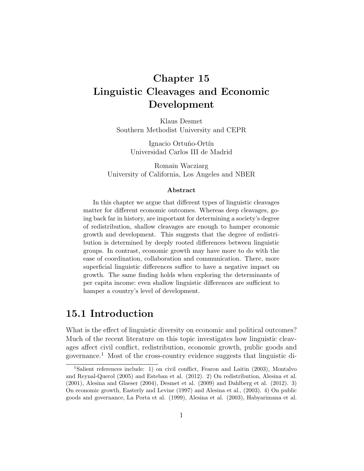# Chapter 15 Linguistic Cleavages and Economic Development

Klaus Desmet Southern Methodist University and CEPR

> Ignacio Ortuño-Ortín Universidad Carlos III de Madrid

Romain Wacziarg University of California, Los Angeles and NBER

#### Abstract

In this chapter we argue that different types of linguistic cleavages matter for different economic outcomes. Whereas deep cleavages, going back far in history, are important for determining a society's degree of redistribution, shallow cleavages are enough to hamper economic growth and development. This suggests that the degree of redistribution is determined by deeply rooted differences between linguistic groups. In contrast, economic growth may have more to do with the ease of coordination, collaboration and communication. There, more superficial linguistic differences suffice to have a negative impact on growth. The same finding holds when exploring the determinants of per capita income: even shallow linguistic differences are sufficient to hamper a country's level of development.

### 15.1 Introduction

What is the effect of linguistic diversity on economic and political outcomes? Much of the recent literature on this topic investigates how linguistic cleavages affect civil conflict, redistribution, economic growth, public goods and governance.<sup>1</sup> Most of the cross-country evidence suggests that linguistic di-

<sup>1</sup>Salient references include: 1) on civil conflict, Fearon and Laitin (2003), Montalvo and Reynal-Querol (2005) and Esteban et al. (2012). 2) On redistribution, Alesina et al. (2001), Alesina and Glaeser (2004), Desmet et al. (2009) and Dahlberg et al. (2012). 3) On economic growth, Easterly and Levine (1997) and Alesina et al., (2003). 4) On public goods and governance, La Porta et al. (1999), Alesina et al. (2003), Habyarimana et al.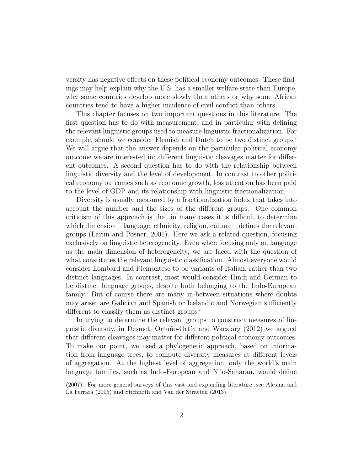versity has negative effects on these political economy outcomes. These findings may help explain why the U.S. has a smaller welfare state than Europe, why some countries develop more slowly than others or why some African countries tend to have a higher incidence of civil conflict than others.

This chapter focuses on two important questions in this literature. The first question has to do with measurement, and in particular with defining the relevant linguistic groups used to measure linguistic fractionalization. For example, should we consider Flemish and Dutch to be two distinct groups? We will argue that the answer depends on the particular political economy outcome we are interested in: different linguistic cleavages matter for different outcomes. A second question has to do with the relationship between linguistic diversity and the level of development. In contrast to other political economy outcomes such as economic growth, less attention has been paid to the level of GDP and its relationship with linguistic fractionalization.

Diversity is usually measured by a fractionalization index that takes into account the number and the sizes of the different groups. One common criticism of this approach is that in many cases it is difficult to determine which dimension – language, ethnicity, religion, culture – defines the relevant groups (Laitin and Posner, 2001). Here we ask a related question, focusing exclusively on linguistic heterogeneity. Even when focusing only on language as the main dimension of heterogeneity, we are faced with the question of what constitutes the relevant linguistic classification. Almost everyone would consider Lombard and Piemontese to be variants of Italian, rather than two distinct languages. In contrast, most would consider Hindi and German to be distinct language groups, despite both belonging to the Indo-European family. But of course there are many in-between situations where doubts may arise: are Galician and Spanish or Icelandic and Norwegian sufficiently different to classify them as distinct groups?

In trying to determine the relevant groups to construct measures of linguistic diversity, in Desmet, Ortuño-Ortín and Wacziarg  $(2012)$  we argued that different cleavages may matter for different political economy outcomes. To make our point, we used a phylogenetic approach, based on information from language trees, to compute diversity measures at different levels of aggregation. At the highest level of aggregation, only the world's main language families, such as Indo-European and Nilo-Saharan, would define

<sup>(2007).</sup> For more general surveys of this vast and expanding literature, see Alesina and La Ferrara (2005) and Stichnoth and Van der Straeten (2013).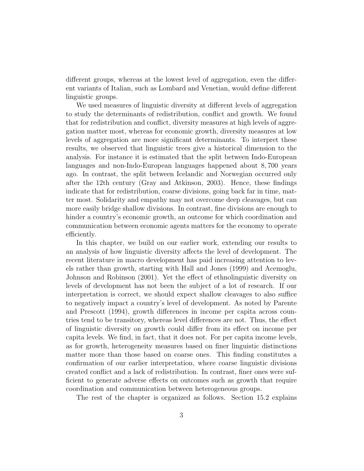different groups, whereas at the lowest level of aggregation, even the different variants of Italian, such as Lombard and Venetian, would define different linguistic groups.

We used measures of linguistic diversity at different levels of aggregation to study the determinants of redistribution, conflict and growth. We found that for redistribution and conflict, diversity measures at high levels of aggregation matter most, whereas for economic growth, diversity measures at low levels of aggregation are more significant determinants. To interpret these results, we observed that linguistic trees give a historical dimension to the analysis. For instance it is estimated that the split between Indo-European languages and non-Indo-European languages happened about 8, 700 years ago. In contrast, the split between Icelandic and Norwegian occurred only after the 12th century (Gray and Atkinson, 2003). Hence, these findings indicate that for redistribution, coarse divisions, going back far in time, matter most. Solidarity and empathy may not overcome deep cleavages, but can more easily bridge shallow divisions. In contrast, fine divisions are enough to hinder a country's economic growth, an outcome for which coordination and communication between economic agents matters for the economy to operate efficiently.

In this chapter, we build on our earlier work, extending our results to an analysis of how linguistic diversity affects the level of development. The recent literature in macro development has paid increasing attention to levels rather than growth, starting with Hall and Jones (1999) and Acemoglu, Johnson and Robinson (2001). Yet the effect of ethnolinguistic diversity on levels of development has not been the subject of a lot of research. If our interpretation is correct, we should expect shallow cleavages to also suffice to negatively impact a country's level of development. As noted by Parente and Prescott (1994), growth differences in income per capita across countries tend to be transitory, whereas level differences are not. Thus, the effect of linguistic diversity on growth could differ from its effect on income per capita levels. We find, in fact, that it does not. For per capita income levels, as for growth, heterogeneity measures based on finer linguistic distinctions matter more than those based on coarse ones. This finding constitutes a confirmation of our earlier interpretation, where coarse linguistic divisions created conflict and a lack of redistribution. In contrast, finer ones were sufficient to generate adverse effects on outcomes such as growth that require coordination and communication between heterogeneous groups.

The rest of the chapter is organized as follows. Section 15.2 explains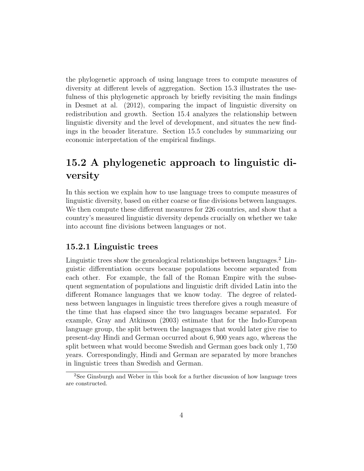the phylogenetic approach of using language trees to compute measures of diversity at different levels of aggregation. Section 15.3 illustrates the usefulness of this phylogenetic approach by briefly revisiting the main findings in Desmet at al. (2012), comparing the impact of linguistic diversity on redistribution and growth. Section 15.4 analyzes the relationship between linguistic diversity and the level of development, and situates the new findings in the broader literature. Section 15.5 concludes by summarizing our economic interpretation of the empirical findings.

## 15.2 A phylogenetic approach to linguistic diversity

In this section we explain how to use language trees to compute measures of linguistic diversity, based on either coarse or fine divisions between languages. We then compute these different measures for 226 countries, and show that a country's measured linguistic diversity depends crucially on whether we take into account fine divisions between languages or not.

### 15.2.1 Linguistic trees

Linguistic trees show the genealogical relationships between languages.<sup>2</sup> Linguistic differentiation occurs because populations become separated from each other. For example, the fall of the Roman Empire with the subsequent segmentation of populations and linguistic drift divided Latin into the different Romance languages that we know today. The degree of relatedness between languages in linguistic trees therefore gives a rough measure of the time that has elapsed since the two languages became separated. For example, Gray and Atkinson (2003) estimate that for the Indo-European language group, the split between the languages that would later give rise to present-day Hindi and German occurred about 6, 900 years ago, whereas the split between what would become Swedish and German goes back only 1, 750 years. Correspondingly, Hindi and German are separated by more branches in linguistic trees than Swedish and German.

<sup>&</sup>lt;sup>2</sup>See Ginsburgh and Weber in this book for a further discussion of how language trees are constructed.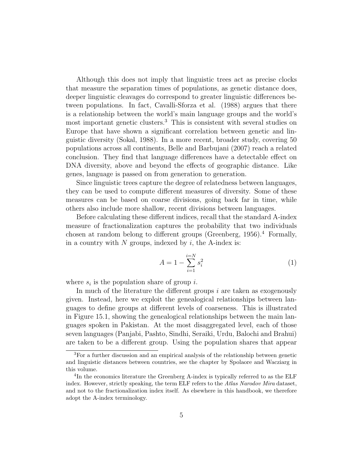Although this does not imply that linguistic trees act as precise clocks that measure the separation times of populations, as genetic distance does, deeper linguistic cleavages do correspond to greater linguistic differences between populations. In fact, Cavalli-Sforza et al. (1988) argues that there is a relationship between the world's main language groups and the world's most important genetic clusters.<sup>3</sup> This is consistent with several studies on Europe that have shown a significant correlation between genetic and linguistic diversity (Sokal, 1988). In a more recent, broader study, covering 50 populations across all continents, Belle and Barbujani (2007) reach a related conclusion. They find that language differences have a detectable effect on DNA diversity, above and beyond the effects of geographic distance. Like genes, language is passed on from generation to generation.

Since linguistic trees capture the degree of relatedness between languages, they can be used to compute different measures of diversity. Some of these measures can be based on coarse divisions, going back far in time, while others also include more shallow, recent divisions between languages.

Before calculating these different indices, recall that the standard A-index measure of fractionalization captures the probability that two individuals chosen at random belong to different groups (Greenberg,  $1956$ ).<sup>4</sup> Formally, in a country with N groups, indexed by  $i$ , the A-index is:

$$
A = 1 - \sum_{i=1}^{i=N} s_i^2 \tag{1}
$$

where  $s_i$  is the population share of group i.

In much of the literature the different groups  $i$  are taken as exogenously given. Instead, here we exploit the genealogical relationships between languages to define groups at different levels of coarseness. This is illustrated in Figure 15.1, showing the genealogical relationships between the main languages spoken in Pakistan. At the most disaggregated level, each of those seven languages (Panjabi, Pashto, Sindhi, Seraiki, Urdu, Balochi and Brahui) are taken to be a different group. Using the population shares that appear

<sup>3</sup>For a further discussion and an empirical analysis of the relationship between genetic and linguistic distances between countries, see the chapter by Spolaore and Wacziarg in this volume.

<sup>&</sup>lt;sup>4</sup>In the economics literature the Greenberg A-index is typically referred to as the ELF index. However, strictly speaking, the term ELF refers to the Atlas Narodov Mira dataset, and not to the fractionalization index itself. As elsewhere in this handbook, we therefore adopt the A-index terminology.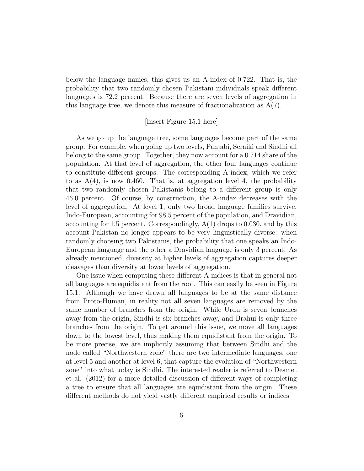below the language names, this gives us an A-index of 0.722. That is, the probability that two randomly chosen Pakistani individuals speak different languages is 72.2 percent. Because there are seven levels of aggregation in this language tree, we denote this measure of fractionalization as A(7).

#### [Insert Figure 15.1 here]

As we go up the language tree, some languages become part of the same group. For example, when going up two levels, Panjabi, Seraiki and Sindhi all belong to the same group. Together, they now account for a 0.714 share of the population. At that level of aggregation, the other four languages continue to constitute different groups. The corresponding A-index, which we refer to as  $A(4)$ , is now 0.460. That is, at aggregation level 4, the probability that two randomly chosen Pakistanis belong to a different group is only 46.0 percent. Of course, by construction, the A-index decreases with the level of aggregation. At level 1, only two broad language families survive, Indo-European, accounting for 98.5 percent of the population, and Dravidian, accounting for 1.5 percent. Correspondingly,  $A(1)$  drops to 0.030, and by this account Pakistan no longer appears to be very linguistically diverse: when randomly choosing two Pakistanis, the probability that one speaks an Indo-European language and the other a Dravidian language is only 3 percent. As already mentioned, diversity at higher levels of aggregation captures deeper cleavages than diversity at lower levels of aggregation.

One issue when computing these different A-indices is that in general not all languages are equidistant from the root. This can easily be seen in Figure 15.1. Although we have drawn all languages to be at the same distance from Proto-Human, in reality not all seven languages are removed by the same number of branches from the origin. While Urdu is seven branches away from the origin, Sindhi is six branches away, and Brahui is only three branches from the origin. To get around this issue, we move all languages down to the lowest level, thus making them equidistant from the origin. To be more precise, we are implicitly assuming that between Sindhi and the node called "Northwestern zone" there are two intermediate languages, one at level 5 and another at level 6, that capture the evolution of "Northwestern zone" into what today is Sindhi. The interested reader is referred to Desmet et al. (2012) for a more detailed discussion of different ways of completing a tree to ensure that all languages are equidistant from the origin. These different methods do not yield vastly different empirical results or indices.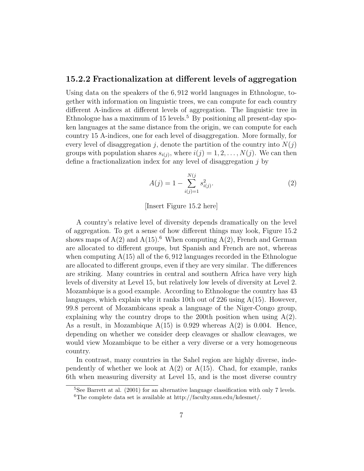#### 15.2.2 Fractionalization at different levels of aggregation

Using data on the speakers of the 6, 912 world languages in Ethnologue, together with information on linguistic trees, we can compute for each country different A-indices at different levels of aggregation. The linguistic tree in Ethnologue has a maximum of 15 levels.<sup>5</sup> By positioning all present-day spoken languages at the same distance from the origin, we can compute for each country 15 A-indices, one for each level of disaggregation. More formally, for every level of disaggregation j, denote the partition of the country into  $N(j)$ groups with population shares  $s_{i(j)}$ , where  $i(j) = 1, 2, ..., N(j)$ . We can then define a fractionalization index for any level of disaggregation  $j$  by

$$
A(j) = 1 - \sum_{i(j)=1}^{N(j)} s_{i(j)}^2.
$$
 (2)

[Insert Figure 15.2 here]

A country's relative level of diversity depends dramatically on the level of aggregation. To get a sense of how different things may look, Figure 15.2 shows maps of  $A(2)$  and  $A(15)$ .<sup>6</sup> When computing  $A(2)$ , French and German are allocated to different groups, but Spanish and French are not, whereas when computing  $A(15)$  all of the 6,912 languages recorded in the Ethnologue are allocated to different groups, even if they are very similar. The differences are striking. Many countries in central and southern Africa have very high levels of diversity at Level 15, but relatively low levels of diversity at Level 2. Mozambique is a good example. According to Ethnologue the country has 43 languages, which explain why it ranks 10th out of 226 using  $A(15)$ . However, 99.8 percent of Mozambicans speak a language of the Niger-Congo group, explaining why the country drops to the 200th position when using  $A(2)$ . As a result, in Mozambique  $A(15)$  is 0.929 whereas  $A(2)$  is 0.004. Hence, depending on whether we consider deep cleavages or shallow cleavages, we would view Mozambique to be either a very diverse or a very homogeneous country.

In contrast, many countries in the Sahel region are highly diverse, independently of whether we look at  $A(2)$  or  $A(15)$ . Chad, for example, ranks 6th when measuring diversity at Level 15, and is the most diverse country

 $5$ See Barrett at al. (2001) for an alternative language classification with only 7 levels. <sup>6</sup>The complete data set is available at http://faculty.smu.edu/kdesmet/.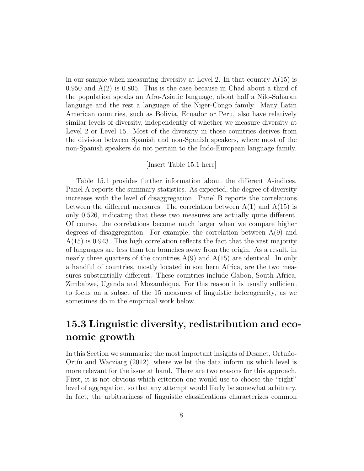in our sample when measuring diversity at Level 2. In that country  $A(15)$  is  $0.950$  and  $A(2)$  is 0.805. This is the case because in Chad about a third of the population speaks an Afro-Asiatic language, about half a Nilo-Saharan language and the rest a language of the Niger-Congo family. Many Latin American countries, such as Bolivia, Ecuador or Peru, also have relatively similar levels of diversity, independently of whether we measure diversity at Level 2 or Level 15. Most of the diversity in those countries derives from the division between Spanish and non-Spanish speakers, where most of the non-Spanish speakers do not pertain to the Indo-European language family.

#### [Insert Table 15.1 here]

Table 15.1 provides further information about the different A-indices. Panel A reports the summary statistics. As expected, the degree of diversity increases with the level of disaggregation. Panel B reports the correlations between the different measures. The correlation between  $A(1)$  and  $A(15)$  is only 0.526, indicating that these two measures are actually quite different. Of course, the correlations become much larger when we compare higher degrees of disaggregation. For example, the correlation between A(9) and A(15) is 0.943. This high correlation reflects the fact that the vast majority of languages are less than ten branches away from the origin. As a result, in nearly three quarters of the countries  $A(9)$  and  $A(15)$  are identical. In only a handful of countries, mostly located in southern Africa, are the two measures substantially different. These countries include Gabon, South Africa, Zimbabwe, Uganda and Mozambique. For this reason it is usually sufficient to focus on a subset of the 15 measures of linguistic heterogeneity, as we sometimes do in the empirical work below.

## 15.3 Linguistic diversity, redistribution and economic growth

In this Section we summarize the most important insights of Desmet, Ortuño-Ortin and Wacziarg  $(2012)$ , where we let the data inform us which level is more relevant for the issue at hand. There are two reasons for this approach. First, it is not obvious which criterion one would use to choose the "right" level of aggregation, so that any attempt would likely be somewhat arbitrary. In fact, the arbitrariness of linguistic classifications characterizes common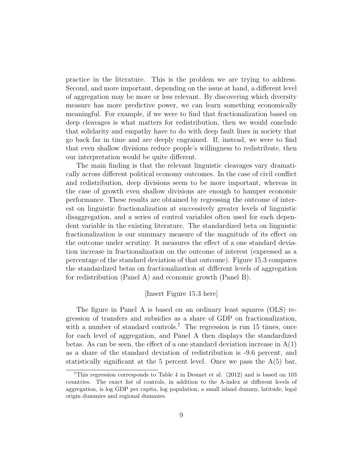practice in the literature. This is the problem we are trying to address. Second, and more important, depending on the issue at hand, a different level of aggregation may be more or less relevant. By discovering which diversity measure has more predictive power, we can learn something economically meaningful. For example, if we were to find that fractionalization based on deep cleavages is what matters for redistribution, then we would conclude that solidarity and empathy have to do with deep fault lines in society that go back far in time and are deeply engrained. If, instead, we were to find that even shallow divisions reduce people's willingness to redistribute, then our interpretation would be quite different.

The main finding is that the relevant linguistic cleavages vary dramatically across different political economy outcomes. In the case of civil conflict and redistribution, deep divisions seem to be more important, whereas in the case of growth even shallow divisions are enough to hamper economic performance. These results are obtained by regressing the outcome of interest on linguistic fractionalization at successively greater levels of linguistic disaggregation, and a series of control variables often used for each dependent variable in the existing literature. The standardized beta on linguistic fractionalization is our summary measure of the magnitude of its effect on the outcome under scrutiny. It measures the effect of a one standard deviation increase in fractionalization on the outcome of interest (expressed as a percentage of the standard deviation of that outcome). Figure 15.3 compares the standardized betas on fractionalization at different levels of aggregation for redistribution (Panel A) and economic growth (Panel B).

#### [Insert Figure 15.3 here]

The figure in Panel A is based on an ordinary least squares (OLS) regression of transfers and subsidies as a share of GDP on fractionalization, with a number of standard controls.<sup>7</sup> The regression is run  $15$  times, once for each level of aggregation, and Panel A then displays the standardized betas. As can be seen, the effect of a one standard deviation increase in  $A(1)$ as a share of the standard deviation of redistribution is -9.6 percent, and statistically significant at the 5 percent level. Once we pass the  $A(5)$  bar,

<sup>7</sup>This regression corresponds to Table 4 in Desmet et al. (2012) and is based on 103 countries. The exact list of controls, in addition to the A-index at different levels of aggregation, is log GDP per capita, log population, a small island dummy, latitude, legal origin dummies and regional dummies.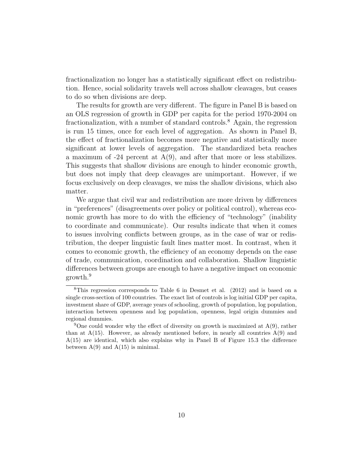fractionalization no longer has a statistically significant effect on redistribution. Hence, social solidarity travels well across shallow cleavages, but ceases to do so when divisions are deep.

The results for growth are very different. The figure in Panel B is based on an OLS regression of growth in GDP per capita for the period 1970-2004 on fractionalization, with a number of standard controls.<sup>8</sup> Again, the regression is run 15 times, once for each level of aggregation. As shown in Panel B, the effect of fractionalization becomes more negative and statistically more significant at lower levels of aggregation. The standardized beta reaches a maximum of  $-24$  percent at  $A(9)$ , and after that more or less stabilizes. This suggests that shallow divisions are enough to hinder economic growth, but does not imply that deep cleavages are unimportant. However, if we focus exclusively on deep cleavages, we miss the shallow divisions, which also matter.

We argue that civil war and redistribution are more driven by differences in "preferences" (disagreements over policy or political control), whereas economic growth has more to do with the efficiency of "technology" (inability to coordinate and communicate). Our results indicate that when it comes to issues involving conflicts between groups, as in the case of war or redistribution, the deeper linguistic fault lines matter most. In contrast, when it comes to economic growth, the efficiency of an economy depends on the ease of trade, communication, coordination and collaboration. Shallow linguistic differences between groups are enough to have a negative impact on economic growth.<sup>9</sup>

<sup>8</sup>This regression corresponds to Table 6 in Desmet et al. (2012) and is based on a single cross-section of 100 countries. The exact list of controls is log initial GDP per capita, investment share of GDP, average years of schooling, growth of population, log population, interaction between openness and log population, openness, legal origin dummies and regional dummies.

<sup>&</sup>lt;sup>9</sup>One could wonder why the effect of diversity on growth is maximized at  $A(9)$ , rather than at  $A(15)$ . However, as already mentioned before, in nearly all countries  $A(9)$  and A(15) are identical, which also explains why in Panel B of Figure 15.3 the difference between  $A(9)$  and  $A(15)$  is minimal.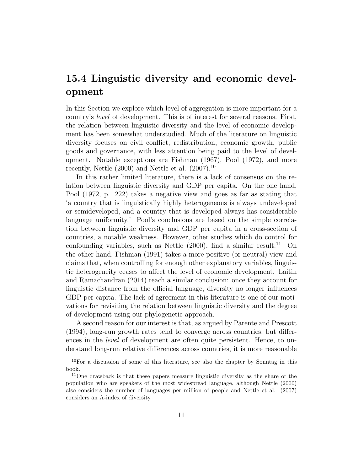## 15.4 Linguistic diversity and economic development

In this Section we explore which level of aggregation is more important for a country's level of development. This is of interest for several reasons. First, the relation between linguistic diversity and the level of economic development has been somewhat understudied. Much of the literature on linguistic diversity focuses on civil conflict, redistribution, economic growth, public goods and governance, with less attention being paid to the level of development. Notable exceptions are Fishman (1967), Pool (1972), and more recently, Nettle  $(2000)$  and Nettle et al.  $(2007).<sup>10</sup>$ 

In this rather limited literature, there is a lack of consensus on the relation between linguistic diversity and GDP per capita. On the one hand, Pool (1972, p. 222) takes a negative view and goes as far as stating that 'a country that is linguistically highly heterogeneous is always undeveloped or semideveloped, and a country that is developed always has considerable language uniformity.' Pool's conclusions are based on the simple correlation between linguistic diversity and GDP per capita in a cross-section of countries, a notable weakness. However, other studies which do control for confounding variables, such as Nettle  $(2000)$ , find a similar result.<sup>11</sup> On the other hand, Fishman (1991) takes a more positive (or neutral) view and claims that, when controlling for enough other explanatory variables, linguistic heterogeneity ceases to affect the level of economic development. Laitin and Ramachandran (2014) reach a similar conclusion: once they account for linguistic distance from the official language, diversity no longer influences GDP per capita. The lack of agreement in this literature is one of our motivations for revisiting the relation between linguistic diversity and the degree of development using our phylogenetic approach.

A second reason for our interest is that, as argued by Parente and Prescott (1994), long-run growth rates tend to converge across countries, but differences in the *level* of development are often quite persistent. Hence, to understand long-run relative differences across countries, it is more reasonable

<sup>10</sup>For a discussion of some of this literature, see also the chapter by Sonntag in this book.

<sup>11</sup>One drawback is that these papers measure linguistic diversity as the share of the population who are speakers of the most widespread language, although Nettle (2000) also considers the number of languages per million of people and Nettle et al. (2007) considers an A-index of diversity.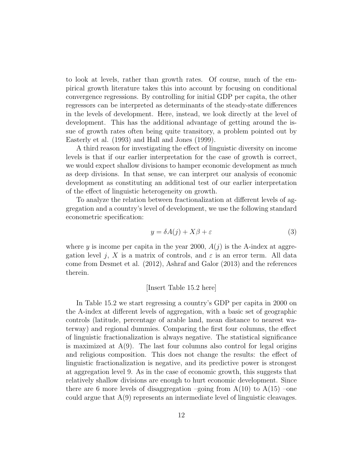to look at levels, rather than growth rates. Of course, much of the empirical growth literature takes this into account by focusing on conditional convergence regressions. By controlling for initial GDP per capita, the other regressors can be interpreted as determinants of the steady-state differences in the levels of development. Here, instead, we look directly at the level of development. This has the additional advantage of getting around the issue of growth rates often being quite transitory, a problem pointed out by Easterly et al. (1993) and Hall and Jones (1999).

A third reason for investigating the effect of linguistic diversity on income levels is that if our earlier interpretation for the case of growth is correct, we would expect shallow divisions to hamper economic development as much as deep divisions. In that sense, we can interpret our analysis of economic development as constituting an additional test of our earlier interpretation of the effect of linguistic heterogeneity on growth.

To analyze the relation between fractionalization at different levels of aggregation and a country's level of development, we use the following standard econometric specification:

$$
y = \delta A(j) + X\beta + \varepsilon \tag{3}
$$

where y is income per capita in the year 2000,  $A(j)$  is the A-index at aggregation level j, X is a matrix of controls, and  $\varepsilon$  is an error term. All data come from Desmet et al. (2012), Ashraf and Galor (2013) and the references therein.

#### [Insert Table 15.2 here]

In Table 15.2 we start regressing a country's GDP per capita in 2000 on the A-index at different levels of aggregation, with a basic set of geographic controls (latitude, percentage of arable land, mean distance to nearest waterway) and regional dummies. Comparing the first four columns, the effect of linguistic fractionalization is always negative. The statistical significance is maximized at  $A(9)$ . The last four columns also control for legal origins and religious composition. This does not change the results: the effect of linguistic fractionalization is negative, and its predictive power is strongest at aggregation level 9. As in the case of economic growth, this suggests that relatively shallow divisions are enough to hurt economic development. Since there are 6 more levels of disaggregation –going from  $A(10)$  to  $A(15)$  –one could argue that  $A(9)$  represents an intermediate level of linguistic cleavages.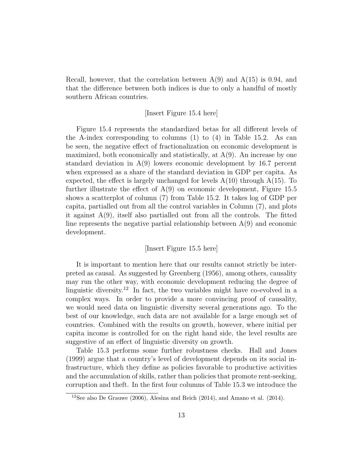Recall, however, that the correlation between  $A(9)$  and  $A(15)$  is 0.94, and that the difference between both indices is due to only a handful of mostly southern African countries.

#### [Insert Figure 15.4 here]

Figure 15.4 represents the standardized betas for all different levels of the A-index corresponding to columns  $(1)$  to  $(4)$  in Table 15.2. As can be seen, the negative effect of fractionalization on economic development is maximized, both economically and statistically, at  $A(9)$ . An increase by one standard deviation in  $A(9)$  lowers economic development by 16.7 percent when expressed as a share of the standard deviation in GDP per capita. As expected, the effect is largely unchanged for levels  $A(10)$  through  $A(15)$ . To further illustrate the effect of  $A(9)$  on economic development, Figure 15.5 shows a scatterplot of column (7) from Table 15.2. It takes log of GDP per capita, partialled out from all the control variables in Column (7), and plots it against  $A(9)$ , itself also partialled out from all the controls. The fitted line represents the negative partial relationship between  $A(9)$  and economic development.

#### [Insert Figure 15.5 here]

It is important to mention here that our results cannot strictly be interpreted as causal. As suggested by Greenberg (1956), among others, causality may run the other way, with economic development reducing the degree of linguistic diversity.<sup>12</sup> In fact, the two variables might have co-evolved in a complex ways. In order to provide a more convincing proof of causality, we would need data on linguistic diversity several generations ago. To the best of our knowledge, such data are not available for a large enough set of countries. Combined with the results on growth, however, where initial per capita income is controlled for on the right hand side, the level results are suggestive of an effect of linguistic diversity on growth.

Table 15.3 performs some further robustness checks. Hall and Jones (1999) argue that a country's level of development depends on its social infrastructure, which they define as policies favorable to productive activities and the accumulation of skills, rather than policies that promote rent-seeking, corruption and theft. In the first four columns of Table 15.3 we introduce the

<sup>&</sup>lt;sup>12</sup>See also De Grauwe (2006), Alesina and Reich (2014), and Amano et al. (2014).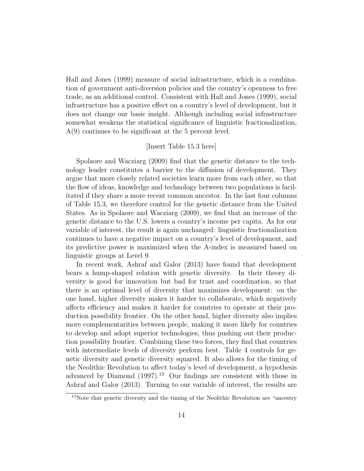Hall and Jones (1999) measure of social infrastructure, which is a combination of government anti-diversion policies and the country's openness to free trade, as an additional control. Consistent with Hall and Jones (1999), social infrastructure has a positive effect on a country's level of development, but it does not change our basic insight. Although including social infrastructure somewhat weakens the statistical significance of linguistic fractionalization, A(9) continues to be significant at the 5 percent level.

#### [Insert Table 15.3 here]

Spolaore and Wacziarg (2009) find that the genetic distance to the technology leader constitutes a barrier to the diffusion of development. They argue that more closely related societies learn more from each other, so that the flow of ideas, knowledge and technology between two populations is facilitated if they share a more recent common ancestor. In the last four columns of Table 15.3, we therefore control for the genetic distance from the United States. As in Spolaore and Wacziarg (2009), we find that an increase of the genetic distance to the U.S. lowers a country's income per capita. As for our variable of interest, the result is again unchanged: linguistic fractionalization continues to have a negative impact on a country's level of development, and its predictive power is maximized when the A-index is measured based on linguistic groups at Level 9.

In recent work, Ashraf and Galor (2013) have found that development bears a hump-shaped relation with genetic diversity. In their theory diversity is good for innovation but bad for trust and coordination, so that there is an optimal level of diversity that maximizes development: on the one hand, higher diversity makes it harder to collaborate, which negatively affects efficiency and makes it harder for countries to operate at their production possibility frontier. On the other hand, higher diversity also implies more complementarities between people, making it more likely for countries to develop and adopt superior technologies, thus pushing out their production possibility frontier. Combining these two forces, they find that countries with intermediate levels of diversity perform best. Table 4 controls for genetic diversity and genetic diversity squared. It also allows for the timing of the Neolithic Revolution to affect today's level of development, a hypothesis advanced by Diamond  $(1997).^{13}$  Our findings are consistent with those in Ashraf and Galor (2013). Turning to our variable of interest, the results are

 $13$ Note that genetic diversity and the timing of the Neolithic Revolution are "ancestry"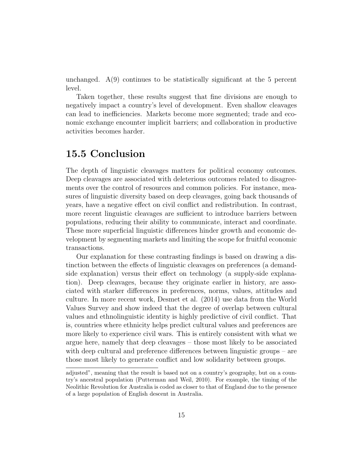unchanged. A(9) continues to be statistically significant at the 5 percent level.

Taken together, these results suggest that fine divisions are enough to negatively impact a country's level of development. Even shallow cleavages can lead to inefficiencies. Markets become more segmented; trade and economic exchange encounter implicit barriers; and collaboration in productive activities becomes harder.

### 15.5 Conclusion

The depth of linguistic cleavages matters for political economy outcomes. Deep cleavages are associated with deleterious outcomes related to disagreements over the control of resources and common policies. For instance, measures of linguistic diversity based on deep cleavages, going back thousands of years, have a negative effect on civil conflict and redistribution. In contrast, more recent linguistic cleavages are sufficient to introduce barriers between populations, reducing their ability to communicate, interact and coordinate. These more superficial linguistic differences hinder growth and economic development by segmenting markets and limiting the scope for fruitful economic transactions.

Our explanation for these contrasting findings is based on drawing a distinction between the effects of linguistic cleavages on preferences (a demandside explanation) versus their effect on technology (a supply-side explanation). Deep cleavages, because they originate earlier in history, are associated with starker differences in preferences, norms, values, attitudes and culture. In more recent work, Desmet et al. (2014) use data from the World Values Survey and show indeed that the degree of overlap between cultural values and ethnolinguistic identity is highly predictive of civil conflict. That is, countries where ethnicity helps predict cultural values and preferences are more likely to experience civil wars. This is entirely consistent with what we argue here, namely that deep cleavages – those most likely to be associated with deep cultural and preference differences between linguistic groups – are those most likely to generate conflict and low solidarity between groups.

adjusted", meaning that the result is based not on a country's geography, but on a country's ancestral population (Putterman and Weil, 2010). For example, the timing of the Neolithic Revolution for Australia is coded as closer to that of England due to the presence of a large population of English descent in Australia.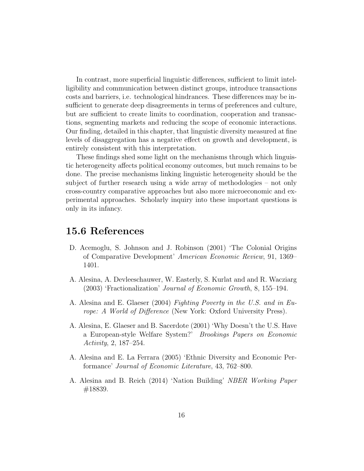In contrast, more superficial linguistic differences, sufficient to limit intelligibility and communication between distinct groups, introduce transactions costs and barriers, i.e. technological hindrances. These differences may be insufficient to generate deep disagreements in terms of preferences and culture, but are sufficient to create limits to coordination, cooperation and transactions, segmenting markets and reducing the scope of economic interactions. Our finding, detailed in this chapter, that linguistic diversity measured at fine levels of disaggregation has a negative effect on growth and development, is entirely consistent with this interpretation.

These findings shed some light on the mechanisms through which linguistic heterogeneity affects political economy outcomes, but much remains to be done. The precise mechanisms linking linguistic heterogeneity should be the subject of further research using a wide array of methodologies – not only cross-country comparative approaches but also more microeconomic and experimental approaches. Scholarly inquiry into these important questions is only in its infancy.

### 15.6 References

- D. Acemoglu, S. Johnson and J. Robinson (2001) 'The Colonial Origins of Comparative Development' American Economic Review, 91, 1369– 1401.
- A. Alesina, A. Devleeschauwer, W. Easterly, S. Kurlat and and R. Wacziarg (2003) 'Fractionalization' Journal of Economic Growth, 8, 155–194.
- A. Alesina and E. Glaeser (2004) Fighting Poverty in the U.S. and in Europe: A World of Difference (New York: Oxford University Press).
- A. Alesina, E. Glaeser and B. Sacerdote (2001) 'Why Doesn't the U.S. Have a European-style Welfare System?' Brookings Papers on Economic Activity, 2, 187–254.
- A. Alesina and E. La Ferrara (2005) 'Ethnic Diversity and Economic Performance' Journal of Economic Literature, 43, 762–800.
- A. Alesina and B. Reich (2014) 'Nation Building' NBER Working Paper #18839.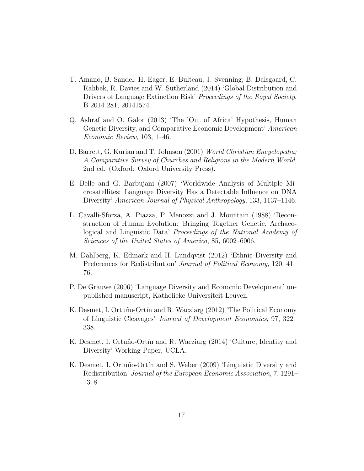- T. Amano, B. Sandel, H. Eager, E. Bulteau, J. Svenning, B. Dalsgaard, C. Rahbek, R. Davies and W. Sutherland (2014) 'Global Distribution and Drivers of Language Extinction Risk' Proceedings of the Royal Society, B 2014 281, 20141574.
- Q. Ashraf and O. Galor (2013) 'The 'Out of Africa' Hypothesis, Human Genetic Diversity, and Comparative Economic Development' American Economic Review, 103, 1–46.
- D. Barrett, G. Kurian and T. Johnson (2001) World Christian Encyclopedia; A Comparative Survey of Churches and Religions in the Modern World, 2nd ed. (Oxford: Oxford University Press).
- E. Belle and G. Barbujani (2007) 'Worldwide Analysis of Multiple Microsatellites: Language Diversity Has a Detectable Influence on DNA Diversity' American Journal of Physical Anthropology, 133, 1137–1146.
- L. Cavalli-Sforza, A. Piazza, P. Menozzi and J. Mountain (1988) 'Reconstruction of Human Evolution: Bringing Together Genetic, Archaeological and Linguistic Data' Proceedings of the National Academy of Sciences of the United States of America, 85, 6002–6006.
- M. Dahlberg, K. Edmark and H. Lundqvist (2012) 'Ethnic Diversity and Preferences for Redistribution' Journal of Political Economy, 120, 41– 76.
- P. De Grauwe (2006) 'Language Diversity and Economic Development' unpublished manuscript, Katholieke Universiteit Leuven.
- K. Desmet, I. Ortuño-Ortín and R. Wacziarg (2012) 'The Political Economy of Linguistic Cleavages' Journal of Development Economics, 97, 322– 338.
- K. Desmet, I. Ortuño-Ortín and R. Wacziarg (2014) 'Culture, Identity and Diversity' Working Paper, UCLA.
- K. Desmet, I. Ortuño-Ortín and S. Weber (2009) 'Linguistic Diversity and Redistribution' Journal of the European Economic Association, 7, 1291– 1318.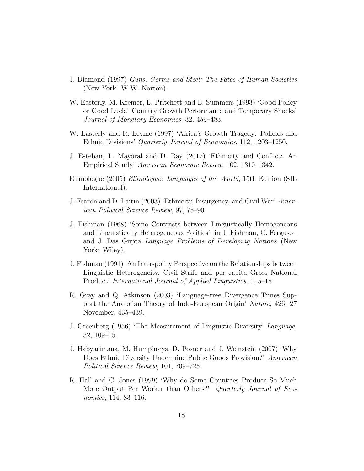- J. Diamond (1997) Guns, Germs and Steel: The Fates of Human Societies (New York: W.W. Norton).
- W. Easterly, M. Kremer, L. Pritchett and L. Summers (1993) 'Good Policy or Good Luck? Country Growth Performance and Temporary Shocks' Journal of Monetary Economics, 32, 459–483.
- W. Easterly and R. Levine (1997) 'Africa's Growth Tragedy: Policies and Ethnic Divisions' Quarterly Journal of Economics, 112, 1203–1250.
- J. Esteban, L. Mayoral and D. Ray (2012) 'Ethnicity and Conflict: An Empirical Study' American Economic Review, 102, 1310–1342.
- Ethnologue (2005) Ethnologue: Languages of the World, 15th Edition (SIL International).
- J. Fearon and D. Laitin (2003) 'Ethnicity, Insurgency, and Civil War' American Political Science Review, 97, 75–90.
- J. Fishman (1968) 'Some Contrasts between Linguistically Homogeneous and Linguistically Heterogeneous Polities' in J. Fishman, C. Ferguson and J. Das Gupta Language Problems of Developing Nations (New York: Wiley).
- J. Fishman (1991) 'An Inter-polity Perspective on the Relationships between Linguistic Heterogeneity, Civil Strife and per capita Gross National Product' International Journal of Applied Linguistics, 1, 5–18.
- R. Gray and Q. Atkinson (2003) 'Language-tree Divergence Times Support the Anatolian Theory of Indo-European Origin' Nature, 426, 27 November, 435–439.
- J. Greenberg (1956) 'The Measurement of Linguistic Diversity' Language, 32, 109–15.
- J. Habyarimana, M. Humphreys, D. Posner and J. Weinstein (2007) 'Why Does Ethnic Diversity Undermine Public Goods Provision?' American Political Science Review, 101, 709–725.
- R. Hall and C. Jones (1999) 'Why do Some Countries Produce So Much More Output Per Worker than Others?' Quarterly Journal of Economics, 114, 83–116.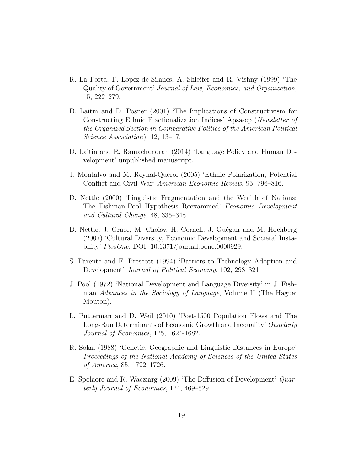- R. La Porta, F. Lopez-de-Silanes, A. Shleifer and R. Vishny (1999) 'The Quality of Government' Journal of Law, Economics, and Organization, 15, 222–279.
- D. Laitin and D. Posner (2001) 'The Implications of Constructivism for Constructing Ethnic Fractionalization Indices' Apsa-cp (Newsletter of the Organized Section in Comparative Politics of the American Political Science Association), 12, 13–17.
- D. Laitin and R. Ramachandran (2014) 'Language Policy and Human Development' unpublished manuscript.
- J. Montalvo and M. Reynal-Querol (2005) 'Ethnic Polarization, Potential Conflict and Civil War' American Economic Review, 95, 796–816.
- D. Nettle (2000) 'Linguistic Fragmentation and the Wealth of Nations: The Fishman-Pool Hypothesis Reexamined' Economic Development and Cultural Change, 48, 335–348.
- D. Nettle, J. Grace, M. Choisy, H. Cornell, J. Guégan and M. Hochberg (2007) 'Cultural Diversity, Economic Development and Societal Instability' PlosOne, DOI: 10.1371/journal.pone.0000929.
- S. Parente and E. Prescott (1994) 'Barriers to Technology Adoption and Development' Journal of Political Economy, 102, 298–321.
- J. Pool (1972) 'National Development and Language Diversity' in J. Fishman Advances in the Sociology of Language, Volume II (The Hague: Mouton).
- L. Putterman and D. Weil (2010) 'Post-1500 Population Flows and The Long-Run Determinants of Economic Growth and Inequality' Quarterly Journal of Economics, 125, 1624-1682.
- R. Sokal (1988) 'Genetic, Geographic and Linguistic Distances in Europe' Proceedings of the National Academy of Sciences of the United States of America, 85, 1722–1726.
- E. Spolaore and R. Wacziarg (2009) 'The Diffusion of Development' Quarterly Journal of Economics, 124, 469–529.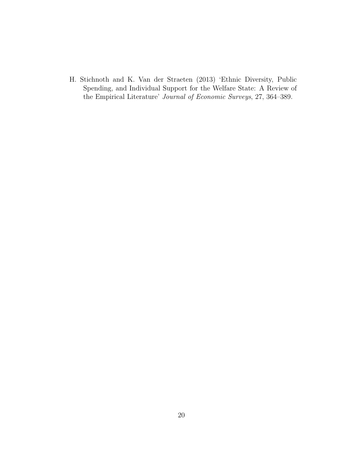H. Stichnoth and K. Van der Straeten (2013) 'Ethnic Diversity, Public Spending, and Individual Support for the Welfare State: A Review of the Empirical Literature' Journal of Economic Surveys, 27, 364–389.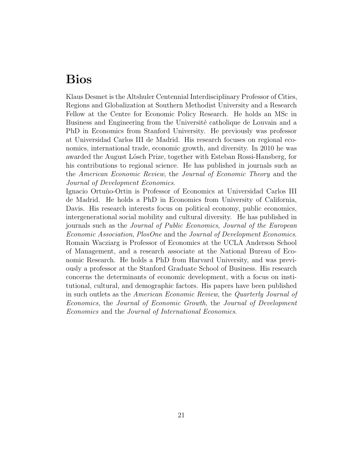# Bios

Klaus Desmet is the Altshuler Centennial Interdisciplinary Professor of Cities, Regions and Globalization at Southern Methodist University and a Research Fellow at the Centre for Economic Policy Research. He holds an MSc in Business and Engineering from the Université catholique de Louvain and a PhD in Economics from Stanford University. He previously was professor at Universidad Carlos III de Madrid. His research focuses on regional economics, international trade, economic growth, and diversity. In 2010 he was awarded the August Lösch Prize, together with Esteban Rossi-Hansberg, for his contributions to regional science. He has published in journals such as the American Economic Review, the Journal of Economic Theory and the Journal of Development Economics.

Ignacio Ortuño-Ortin is Professor of Economics at Universidad Carlos III de Madrid. He holds a PhD in Economics from University of California, Davis. His research interests focus on political economy, public economics, intergenerational social mobility and cultural diversity. He has published in journals such as the Journal of Public Economics, Journal of the European Economic Association, PlosOne and the Journal of Development Economics. Romain Wacziarg is Professor of Economics at the UCLA Anderson School of Management, and a research associate at the National Bureau of Economic Research. He holds a PhD from Harvard University, and was previously a professor at the Stanford Graduate School of Business. His research concerns the determinants of economic development, with a focus on institutional, cultural, and demographic factors. His papers have been published in such outlets as the American Economic Review, the Quarterly Journal of Economics, the Journal of Economic Growth, the Journal of Development Economics and the Journal of International Economics.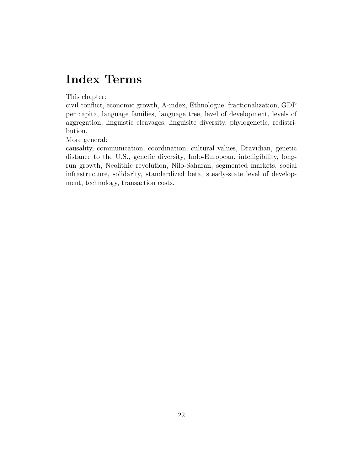# Index Terms

This chapter:

civil conflict, economic growth, A-index, Ethnologue, fractionalization, GDP per capita, language families, language tree, level of development, levels of aggregation, linguistic cleavages, linguisitc diversity, phylogenetic, redistribution.

More general:

causality, communication, coordination, cultural values, Dravidian, genetic distance to the U.S., genetic diversity, Indo-European, intelligibility, longrun growth, Neolithic revolution, Nilo-Saharan, segmented markets, social infrastructure, solidarity, standardized beta, steady-state level of development, technology, transaction costs.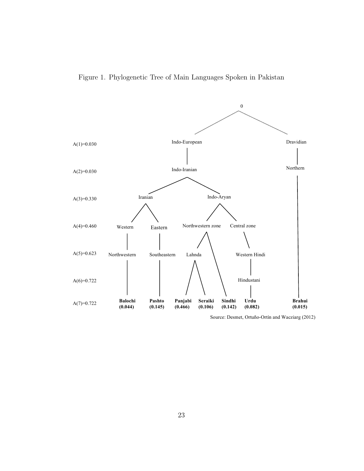



Source: Desmet, Ortuño-Ortín and Wacziarg (2012)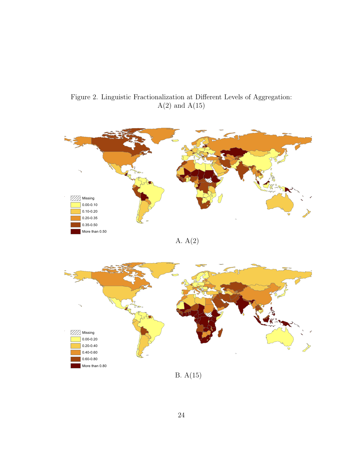Figure 2. Linguistic Fractionalization at Different Levels of Aggregation:  $\mathrm{A}(2)$  and  $\mathrm{A}(15)$ 



A. A(2)



B. A(15)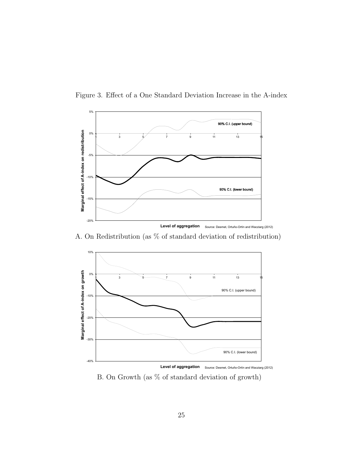

Figure 3. Effect of a One Standard Deviation Increase in the A-index





B. On Growth (as % of standard deviation of growth)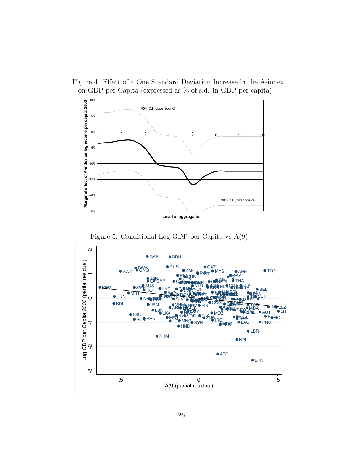



Figure 5. Conditional Log GDP per Capita vs A(9)

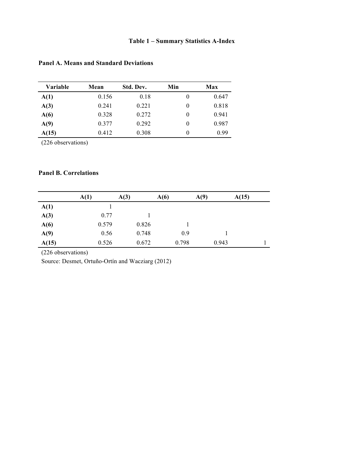|  |  | <b>Panel A. Means and Standard Deviations</b> |
|--|--|-----------------------------------------------|
|  |  |                                               |

| Variable | Mean  | Std. Dev. | Min      | Max   |
|----------|-------|-----------|----------|-------|
| A(1)     | 0.156 | 0.18      | $_{0}$   | 0.647 |
| A(3)     | 0.241 | 0.221     | $_{0}$   | 0.818 |
| A(6)     | 0.328 | 0.272     | $_{0}$   | 0.941 |
| A(9)     | 0.377 | 0.292     | $^{(1)}$ | 0.987 |
| A(15)    | 0.412 | 0.308     | $_{0}$   | 0.99  |

(226 observations)

### **Panel B. Correlations**

|       | A(1)  | A(3)  | A(6)  | A(9)  | A(15) |
|-------|-------|-------|-------|-------|-------|
| A(1)  |       |       |       |       |       |
| A(3)  | 0.77  |       |       |       |       |
| A(6)  | 0.579 | 0.826 |       |       |       |
| A(9)  | 0.56  | 0.748 | 0.9   |       |       |
| A(15) | 0.526 | 0.672 | 0.798 | 0.943 |       |

(226 observations)

j.

Source: Desmet, Ortuño-Ortín and Wacziarg (2012)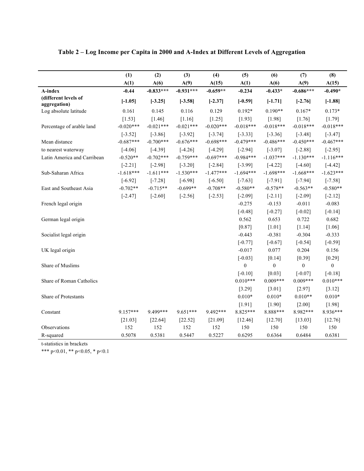|                                      | (1)         | (2)         | (3)         | (4)         | (5)              | (6)            | (7)          | (8)          |
|--------------------------------------|-------------|-------------|-------------|-------------|------------------|----------------|--------------|--------------|
|                                      | A(1)        | A(6)        | A(9)        | A(15)       | A(1)             | A(6)           | A(9)         | A(15)        |
| A-index                              | $-0.44$     | $-0.833***$ | $-0.931***$ | $-0.659**$  | $-0.234$         | $-0.433*$      | $-0.686***$  | $-0.490*$    |
| (different levels of<br>aggregation) | $[-1.05]$   | $[-3.25]$   | $[-3.58]$   | $[-2.37]$   | $[-0.59]$        | $[-1.71]$      | $[-2.76]$    | $[-1.88]$    |
| Log absolute latitude                | 0.161       | 0.145       | 0.116       | 0.129       | $0.192*$         | $0.190**$      | $0.167*$     | $0.173*$     |
|                                      | $[1.53]$    | $[1.46]$    | [1.16]      | $[1.25]$    | [1.93]           | $[1.98]$       | [1.76]       | [1.79]       |
| Percentage of arable land            | $-0.020***$ | $-0.021***$ | $-0.021***$ | $-0.020***$ | $-0.018***$      | $-0.018***$    | $-0.018***$  | $-0.018***$  |
|                                      | $[-3.52]$   | $[-3.86]$   | $[-3.92]$   | $[-3.74]$   | $[-3.33]$        | $[-3.36]$      | $[-3.48]$    | $[-3.47]$    |
| Mean distance                        | $-0.687***$ | $-0.700***$ | $-0.676***$ | $-0.698***$ | $-0.479***$      | $-0.486***$    | $-0.450***$  | $-0.467***$  |
| to nearest waterway                  | $[-4.06]$   | $[-4.39]$   | $[-4.26]$   | $[-4.29]$   | $[-2.94]$        | $[-3.07]$      | $[-2.88]$    | $[-2.95]$    |
| Latin America and Carribean          | $-0.520**$  | $-0.702***$ | $-0.759***$ | $-0.697***$ | $-0.984***$      | $-1.037***$    | $-1.130***$  | $-1.116***$  |
|                                      | $[-2.21]$   | $[-2.98]$   | $[-3.20]$   | $[-2.84]$   | $[-3.99]$        | $[-4.22]$      | $[-4.60]$    | $[-4.42]$    |
| Sub-Saharan Africa                   | $-1.618***$ | $-1.611***$ | $-1.530***$ | $-1.477***$ | $-1.694***$      | $-1.698***$    | $-1.668***$  | $-1.623***$  |
|                                      | $[-6.92]$   | $[-7.28]$   | $[-6.98]$   | $[-6.50]$   | $[-7.63]$        | $[-7.91]$      | $[-7.94]$    | $[-7.58]$    |
| East and Southeast Asia              | $-0.702**$  | $-0.715**$  | $-0.699**$  | $-0.708**$  | $-0.580**$       | $-0.578**$     | $-0.563**$   | $-0.580**$   |
|                                      | $[-2.47]$   | $[-2.60]$   | $[-2.56]$   | $[-2.53]$   | $[-2.09]$        | $[-2.11]$      | $[-2.09]$    | $[-2.12]$    |
| French legal origin                  |             |             |             |             | $-0.275$         | $-0.153$       | $-0.011$     | $-0.083$     |
|                                      |             |             |             |             | $[-0.48]$        | $[-0.27]$      | $[-0.02]$    | $[-0.14]$    |
| German legal origin                  |             |             |             |             | 0.562            | 0.653          | 0.722        | 0.682        |
|                                      |             |             |             |             | [0.87]           | $[1.01]$       | [1.14]       | $[1.06]$     |
| Socialist legal origin               |             |             |             |             | $-0.443$         | $-0.381$       | $-0.304$     | $-0.333$     |
|                                      |             |             |             |             | $[-0.77]$        | $[-0.67]$      | $[-0.54]$    | $[-0.59]$    |
| UK legal origin                      |             |             |             |             | $-0.017$         | 0.077          | 0.204        | 0.156        |
|                                      |             |             |             |             | $[-0.03]$        | [0.14]         | [0.39]       | $[0.29]$     |
| Share of Muslims                     |             |             |             |             | $\boldsymbol{0}$ | $\overline{0}$ | $\mathbf{0}$ | $\mathbf{0}$ |
|                                      |             |             |             |             | $[-0.10]$        | $[0.03]$       | $[-0.07]$    | $[-0.18]$    |
| Share of Roman Catholics             |             |             |             |             | $0.010***$       | $0.009***$     | $0.009***$   | $0.010***$   |
|                                      |             |             |             |             | [3.29]           | $[3.01]$       | [2.97]       | [3.12]       |
| Share of Protestants                 |             |             |             |             | $0.010*$         | $0.010*$       | $0.010**$    | $0.010*$     |
|                                      |             |             |             |             | $[1.91]$         | $[1.90]$       | $[2.00]$     | $[1.98]$     |
| Constant                             | 9.157***    | 9.499***    | $9.651***$  | 9.492***    | 8.825***         | 8.888***       | 8.982***     | 8.936***     |
|                                      | [21.03]     | [22.64]     | [22.52]     | [21.09]     | [12.46]          | [12.70]        | [13.03]      | $[12.76]$    |
| Observations                         | 152         | 152         | 152         | 152         | 150              | 150            | 150          | 150          |
| R-squared                            | 0.5078      | 0.5381      | 0.5447      | 0.5227      | 0.6295           | 0.6364         | 0.6484       | 0.6381       |

**Table 2 – Log Income per Capita in 2000 and A-Index at Different Levels of Aggregation**

t-statistics in brackets

\*\*\* p<0.01, \*\* p<0.05, \* p<0.1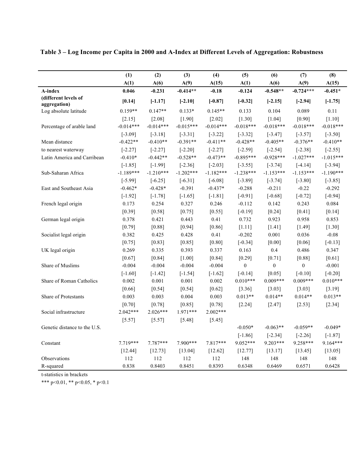|                                      | (1)         | (2)         | (3)         | (4)         | (5)              | (6)              | (7)              | (8)         |
|--------------------------------------|-------------|-------------|-------------|-------------|------------------|------------------|------------------|-------------|
|                                      | A(1)        | A(6)        | A(9)        | A(15)       | A(1)             | A(6)             | A(9)             | A(15)       |
| A-index                              | 0.046       | $-0.231$    | $-0.414**$  | $-0.18$     | $-0.124$         | $-0.548**$       | $-0.724***$      | $-0.451*$   |
| (different levels of<br>aggregation) | [0.14]      | $[-1.17]$   | $[-2.10]$   | $[-0.87]$   | $[-0.32]$        | $[-2.15]$        | $[-2.94]$        | $[-1.75]$   |
| Log absolute latitude                | $0.159**$   | $0.147**$   | $0.133*$    | $0.145**$   | 0.133            | 0.104            | 0.089            | 0.11        |
|                                      | [2.15]      | $[2.08]$    | [1.90]      | $[2.02]$    | [1.30]           | [1.04]           | [0.90]           | [1.10]      |
| Percentage of arable land            | $-0.014***$ | $-0.014***$ | $-0.015***$ | $-0.014***$ | $-0.018***$      | $-0.018***$      | $-0.018***$      | $-0.018***$ |
|                                      | $[-3.09]$   | $[-3.18]$   | $[-3.31]$   | $[-3.22]$   | $[-3.32]$        | $[-3.47]$        | $[-3.57]$        | $[-3.50]$   |
| Mean distance                        | $-0.422**$  | $-0.410**$  | $-0.391**$  | $-0.411**$  | $-0.428**$       | $-0.405**$       | $-0.376**$       | $-0.410**$  |
| to nearest waterway                  | $[-2.27]$   | $[-2.27]$   | $[-2.20]$   | $[-2.27]$   | $[-2.59]$        | $[-2.54]$        | $[-2.38]$        | $[-2.55]$   |
| Latin America and Carribean          | $-0.410*$   | $-0.442**$  | $-0.528**$  | $-0.473**$  | $-0.895***$      | $-0.928***$      | $-1.027***$      | $-1.015***$ |
|                                      | $[-1.85]$   | $[-1.99]$   | $[-2.36]$   | $[-2.03]$   | $[-3.55]$        | $[-3.74]$        | $[-4.14]$        | $[-3.94]$   |
| Sub-Saharan Africa                   | $-1.189***$ | $-1.210***$ | $-1.202***$ | $-1.182***$ | $-1.238***$      | $-1.153***$      | $-1.153***$      | $-1.190***$ |
|                                      | $[-5.99]$   | $[-6.25]$   | $[-6.31]$   | $[-6.08]$   | $[-3.89]$        | $[-3.74]$        | $[-3.80]$        | $[-3.85]$   |
| East and Southeast Asia              | $-0.462*$   | $-0.428*$   | $-0.391$    | $-0.437*$   | $-0.288$         | $-0.211$         | $-0.22$          | $-0.292$    |
|                                      | $[-1.92]$   | $[-1.78]$   | $[-1.65]$   | $[-1.81]$   | $[-0.91]$        | $[-0.68]$        | $[-0.72]$        | $[-0.94]$   |
| French legal origin                  | 0.173       | 0.254       | 0.327       | 0.246       | $-0.112$         | 0.142            | 0.243            | 0.084       |
|                                      | [0.39]      | [0.58]      | [0.75]      | [0.55]      | $[-0.19]$        | [0.24]           | [0.41]           | [0.14]      |
| German legal origin                  | 0.378       | 0.421       | 0.443       | 0.41        | 0.732            | 0.923            | 0.958            | 0.853       |
|                                      | [0.79]      | [0.88]      | $[0.94]$    | [0.86]      | $[1.11]$         | $[1.41]$         | [1.49]           | [1.30]      |
| Socialist legal origin               | 0.382       | 0.425       | 0.428       | 0.41        | $-0.202$         | 0.001            | 0.036            | $-0.08$     |
|                                      | $[0.75]$    | [0.83]      | $[0.85]$    | [0.80]      | $[-0.34]$        | [0.00]           | [0.06]           | $[-0.13]$   |
| UK legal origin                      | 0.269       | 0.335       | 0.393       | 0.337       | 0.163            | 0.4              | 0.486            | 0.347       |
|                                      | $[0.67]$    | [0.84]      | $[1.00]$    | [0.84]      | [0.29]           | [0.71]           | [0.88]           | [0.61]      |
| Share of Muslims                     | $-0.004$    | $-0.004$    | $-0.004$    | $-0.004$    | $\boldsymbol{0}$ | $\boldsymbol{0}$ | $\boldsymbol{0}$ | $-0.001$    |
|                                      | $[-1.60]$   | $[-1.42]$   | $[-1.54]$   | $[-1.62]$   | $[-0.14]$        | [0.05]           | $[-0.10]$        | $[-0.20]$   |
| Share of Roman Catholics             | 0.002       | 0.001       | 0.001       | 0.002       | $0.010***$       | $0.009***$       | $0.009***$       | $0.010***$  |
|                                      | [0.66]      | [0.54]      | [0.54]      | [0.62]      | [3.36]           | [3.03]           | [3.03]           | [3.19]      |
| Share of Protestants                 | 0.003       | 0.003       | 0.004       | 0.003       | $0.013**$        | $0.014**$        | $0.014**$        | $0.013**$   |
|                                      | $[0.70]$    | [0.78]      | $[0.85]$    | [0.78]      | $[2.24]$         | [2.47]           | $[2.53]$         | $[2.34]$    |
| Social infrastructure                | $2.042***$  | 2.026***    | 1.971***    | $2.002***$  |                  |                  |                  |             |
|                                      | $[5.57]$    | $[5.57]$    | $[5.48]$    | $[5.45]$    |                  |                  |                  |             |
| Genetic distance to the U.S.         |             |             |             |             | $-0.050*$        | $-0.063**$       | $-0.059**$       | $-0.049*$   |
|                                      |             |             |             |             | $[-1.86]$        | $[-2.34]$        | $[-2.26]$        | $[-1.87]$   |
| Constant                             | 7.719***    | 7.787***    | 7.900***    | 7.817***    | 9.052***         | 9.203***         | 9.258***         | 9.164***    |
|                                      | [12.44]     | [12.73]     | [13.04]     | $[12.62]$   | [12.77]          | [13.17]          | [13.45]          | [13.05]     |
| Observations                         | 112         | 112         | 112         | 112         | 148              | 148              | 148              | 148         |
| R-squared                            | 0.838       | 0.8403      | 0.8451      | 0.8393      | 0.6348           | 0.6469           | 0.6571           | 0.6428      |

**Table 3 – Log Income per Capita in 2000 and A-Index at Different Levels of Aggregation: Robustness** 

t-statistics in brackets

\*\*\* p<0.01, \*\* p<0.05, \* p<0.1